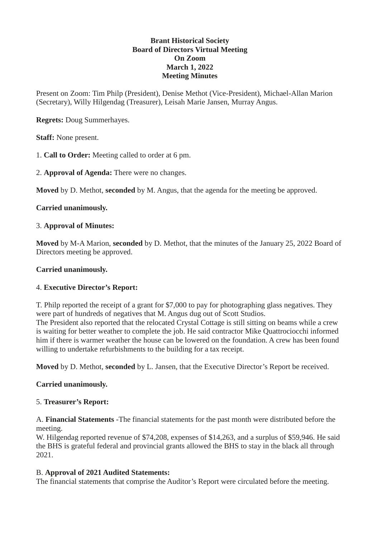#### **Brant Historical Society Board of Directors Virtual Meeting On Zoom March 1, 2022 Meeting Minutes**

Present on Zoom: Tim Philp (President), Denise Methot (Vice-President), Michael-Allan Marion (Secretary), Willy Hilgendag (Treasurer), Leisah Marie Jansen, Murray Angus.

**Regrets:** Doug Summerhayes.

**Staff:** None present.

1. **Call to Order:** Meeting called to order at 6 pm.

2. **Approval of Agenda:** There were no changes.

**Moved** by D. Methot, **seconded** by M. Angus, that the agenda for the meeting be approved.

## **Carried unanimously.**

## 3. **Approval of Minutes:**

**Moved** by M-A Marion, **seconded** by D. Methot, that the minutes of the January 25, 2022 Board of Directors meeting be approved.

## **Carried unanimously.**

# 4. **Executive Director's Report:**

T. Philp reported the receipt of a grant for \$7,000 to pay for photographing glass negatives. They were part of hundreds of negatives that M. Angus dug out of Scott Studios.

The President also reported that the relocated Crystal Cottage is still sitting on beams while a crew is waiting for better weather to complete the job. He said contractor Mike Quattrociocchi informed him if there is warmer weather the house can be lowered on the foundation. A crew has been found willing to undertake refurbishments to the building for a tax receipt.

**Moved** by D. Methot, **seconded** by L. Jansen, that the Executive Director's Report be received.

## **Carried unanimously.**

## 5. **Treasurer's Report:**

A. **Financial Statements** -The financial statements for the past month were distributed before the meeting.

W. Hilgendag reported revenue of \$74,208, expenses of \$14,263, and a surplus of \$59,946. He said the BHS is grateful federal and provincial grants allowed the BHS to stay in the black all through 2021.

## B. **Approval of 2021 Audited Statements:**

The financial statements that comprise the Auditor's Report were circulated before the meeting.